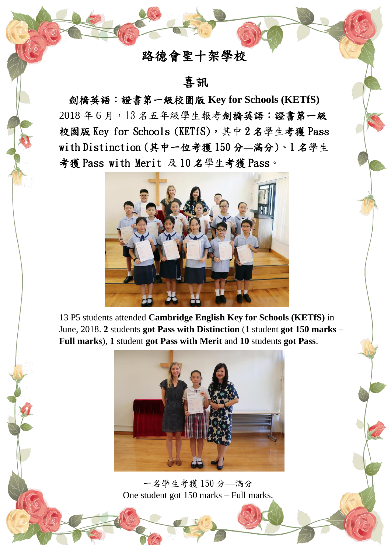# 路德會聖十架學校

## 喜訊

劍橋英語:證書第一級校園版 **Key for Schools (KETfS)** 2018 年 6 月,13 名五年級學生報考劍橋英語:證書第一級 校園版 Key for Schools (KETfS),其中2名學生考獲 Pass with Distinction (其中一位考獲 150 分**––**滿分)、1 名學生 考獲 Pass with Merit 及 10 名學生考獲 Pass。



13 P5 students attended **Cambridge English Key for Schools (KETfS)** in June, 2018. **2** students **got Pass with Distinction** (**1** student **got 150 marks – Full marks**), **1** student **got Pass with Merit** and **10** students **got Pass**.



一名學生考獲 150 分––滿分 One student got 150 marks – Full marks.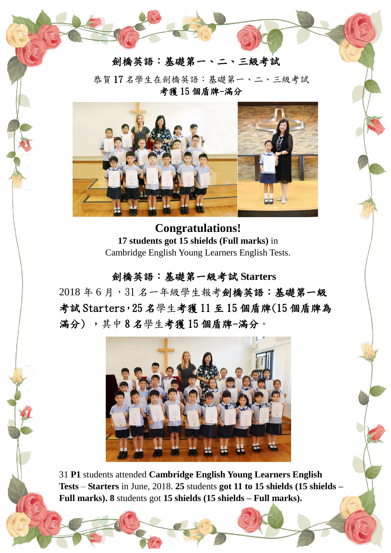

恭賀 17 名學生在劍橋英語:基礎第一、二、三級考試 考獲 15 個盾牌-滿分



**Congratulations! 17 students got 15 shields (Full marks)** in Cambridge English Young Learners English Tests.

#### 劍橋英語:基礎第一級考試 **Starters**

2018 年 6 月,31 名一年級學生報考劍橋英語:基礎第一級 考試 Starters,25 名學生考獲 11 至 15 個盾牌(15 個盾牌為 滿分) ,其中 8 名學生考獲 15 個盾牌-滿分。



31 **P1** students attended **Cambridge English Young Learners English Tests** – **Starters** in June, 2018. **25** students **got 11 to 15 shields (15 shields – Full marks). 8** students got **15 shields (15 shields – Full marks).**